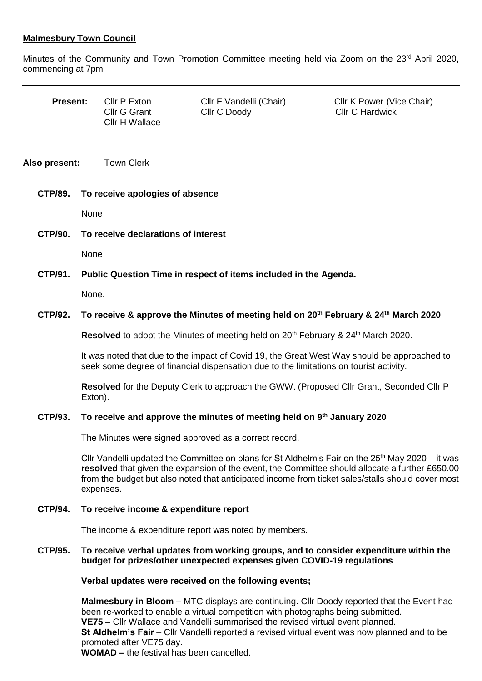## **Malmesbury Town Council**

Minutes of the Community and Town Promotion Committee meeting held via Zoom on the 23<sup>rd</sup> April 2020, commencing at 7pm

| <b>Present:</b> |                                                                                                                                                                                                                                                                                                    | Cllr P Exton<br><b>Cllr G Grant</b><br>Cllr H Wallace | Cllr F Vandelli (Chair)<br>Cllr C Doody                                                                                                                                                                                                                                                                    | Cllr K Power (Vice Chair)<br><b>Cllr C Hardwick</b> |
|-----------------|----------------------------------------------------------------------------------------------------------------------------------------------------------------------------------------------------------------------------------------------------------------------------------------------------|-------------------------------------------------------|------------------------------------------------------------------------------------------------------------------------------------------------------------------------------------------------------------------------------------------------------------------------------------------------------------|-----------------------------------------------------|
| Also present:   |                                                                                                                                                                                                                                                                                                    | <b>Town Clerk</b>                                     |                                                                                                                                                                                                                                                                                                            |                                                     |
| <b>CTP/89.</b>  | To receive apologies of absence                                                                                                                                                                                                                                                                    |                                                       |                                                                                                                                                                                                                                                                                                            |                                                     |
|                 | None                                                                                                                                                                                                                                                                                               |                                                       |                                                                                                                                                                                                                                                                                                            |                                                     |
| <b>CTP/90.</b>  | To receive declarations of interest                                                                                                                                                                                                                                                                |                                                       |                                                                                                                                                                                                                                                                                                            |                                                     |
|                 | None                                                                                                                                                                                                                                                                                               |                                                       |                                                                                                                                                                                                                                                                                                            |                                                     |
| CTP/91.         | Public Question Time in respect of items included in the Agenda.                                                                                                                                                                                                                                   |                                                       |                                                                                                                                                                                                                                                                                                            |                                                     |
|                 | None.                                                                                                                                                                                                                                                                                              |                                                       |                                                                                                                                                                                                                                                                                                            |                                                     |
| <b>CTP/92.</b>  | To receive & approve the Minutes of meeting held on 20 <sup>th</sup> February & 24 <sup>th</sup> March 2020                                                                                                                                                                                        |                                                       |                                                                                                                                                                                                                                                                                                            |                                                     |
|                 | Resolved to adopt the Minutes of meeting held on 20 <sup>th</sup> February & 24 <sup>th</sup> March 2020.<br>It was noted that due to the impact of Covid 19, the Great West Way should be approached to<br>seek some degree of financial dispensation due to the limitations on tourist activity. |                                                       |                                                                                                                                                                                                                                                                                                            |                                                     |
|                 |                                                                                                                                                                                                                                                                                                    |                                                       |                                                                                                                                                                                                                                                                                                            |                                                     |
|                 | Exton).                                                                                                                                                                                                                                                                                            |                                                       | Resolved for the Deputy Clerk to approach the GWW. (Proposed Cllr Grant, Seconded Cllr P                                                                                                                                                                                                                   |                                                     |
| CTP/93.         | To receive and approve the minutes of meeting held on 9th January 2020                                                                                                                                                                                                                             |                                                       |                                                                                                                                                                                                                                                                                                            |                                                     |
|                 |                                                                                                                                                                                                                                                                                                    |                                                       | The Minutes were signed approved as a correct record.                                                                                                                                                                                                                                                      |                                                     |
|                 |                                                                                                                                                                                                                                                                                                    | expenses.                                             | Cllr Vandelli updated the Committee on plans for St Aldhelm's Fair on the $25th$ May 2020 – it was<br>resolved that given the expansion of the event, the Committee should allocate a further £650.00<br>from the budget but also noted that anticipated income from ticket sales/stalls should cover most |                                                     |
| <b>CTP/94.</b>  | To receive income & expenditure report                                                                                                                                                                                                                                                             |                                                       |                                                                                                                                                                                                                                                                                                            |                                                     |
|                 |                                                                                                                                                                                                                                                                                                    |                                                       | The income & expenditure report was noted by members.                                                                                                                                                                                                                                                      |                                                     |
| <b>CTP/95.</b>  | To receive verbal updates from working groups, and to consider expenditure within the<br>budget for prizes/other unexpected expenses given COVID-19 regulations                                                                                                                                    |                                                       |                                                                                                                                                                                                                                                                                                            |                                                     |
|                 | Verbal updates were received on the following events;                                                                                                                                                                                                                                              |                                                       |                                                                                                                                                                                                                                                                                                            |                                                     |

**Malmesbury in Bloom –** MTC displays are continuing. Cllr Doody reported that the Event had been re-worked to enable a virtual competition with photographs being submitted.  **VE75 –** Cllr Wallace and Vandelli summarised the revised virtual event planned. **St Aldhelm's Fair** – Cllr Vandelli reported a revised virtual event was now planned and to be promoted after VE75 day.  **WOMAD –** the festival has been cancelled.